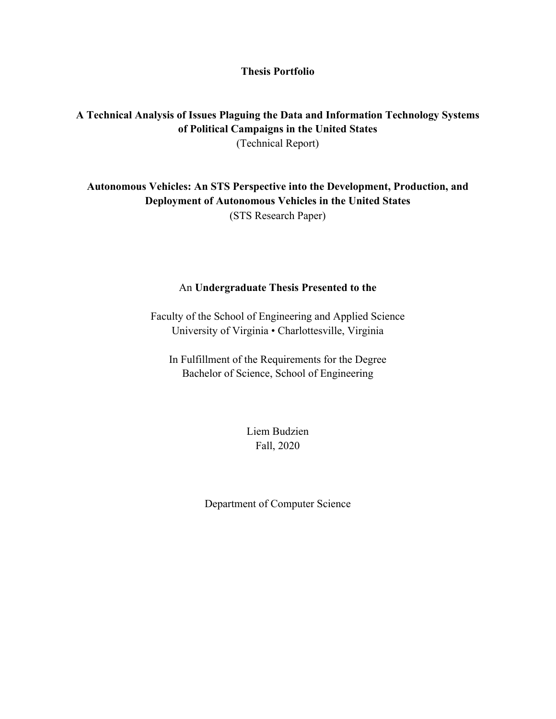### **Thesis Portfolio**

## **A Technical Analysis of Issues Plaguing the Data and Information Technology Systems of Political Campaigns in the United States**  (Technical Report)

## **Autonomous Vehicles: An STS Perspective into the Development, Production, and Deployment of Autonomous Vehicles in the United States**  (STS Research Paper)

#### An **Undergraduate Thesis Presented to the**

Faculty of the School of Engineering and Applied Science University of Virginia • Charlottesville, Virginia

In Fulfillment of the Requirements for the Degree Bachelor of Science, School of Engineering

> Liem Budzien Fall, 2020

Department of Computer Science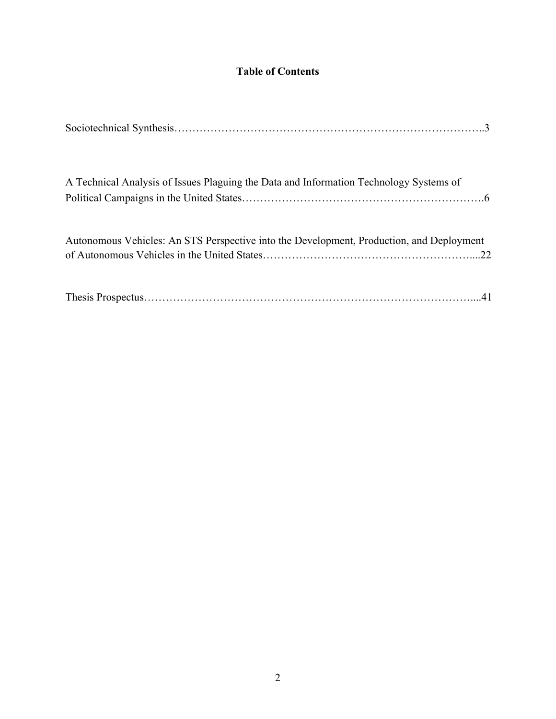# **Table of Contents**

| A Technical Analysis of Issues Plaguing the Data and Information Technology Systems of   |  |
|------------------------------------------------------------------------------------------|--|
|                                                                                          |  |
| Autonomous Vehicles: An STS Perspective into the Development, Production, and Deployment |  |
|                                                                                          |  |
|                                                                                          |  |
|                                                                                          |  |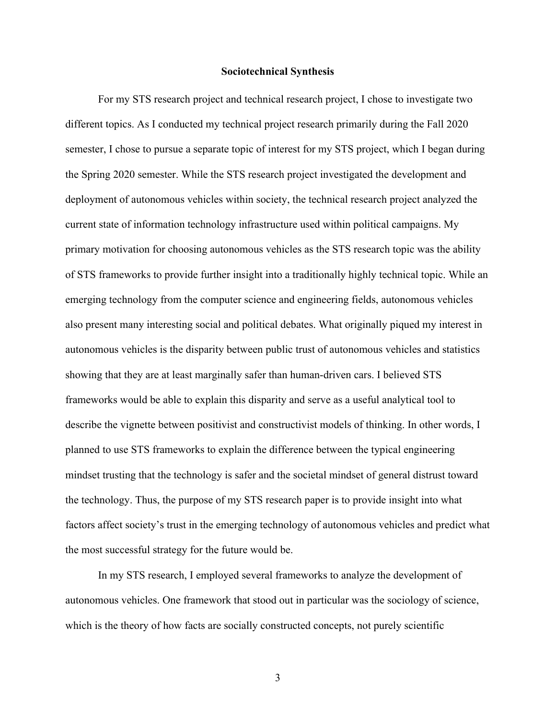#### **Sociotechnical Synthesis**

For my STS research project and technical research project, I chose to investigate two different topics. As I conducted my technical project research primarily during the Fall 2020 semester, I chose to pursue a separate topic of interest for my STS project, which I began during the Spring 2020 semester. While the STS research project investigated the development and deployment of autonomous vehicles within society, the technical research project analyzed the current state of information technology infrastructure used within political campaigns. My primary motivation for choosing autonomous vehicles as the STS research topic was the ability of STS frameworks to provide further insight into a traditionally highly technical topic. While an emerging technology from the computer science and engineering fields, autonomous vehicles also present many interesting social and political debates. What originally piqued my interest in autonomous vehicles is the disparity between public trust of autonomous vehicles and statistics showing that they are at least marginally safer than human-driven cars. I believed STS frameworks would be able to explain this disparity and serve as a useful analytical tool to describe the vignette between positivist and constructivist models of thinking. In other words, I planned to use STS frameworks to explain the difference between the typical engineering mindset trusting that the technology is safer and the societal mindset of general distrust toward the technology. Thus, the purpose of my STS research paper is to provide insight into what factors affect society's trust in the emerging technology of autonomous vehicles and predict what the most successful strategy for the future would be.

In my STS research, I employed several frameworks to analyze the development of autonomous vehicles. One framework that stood out in particular was the sociology of science, which is the theory of how facts are socially constructed concepts, not purely scientific

3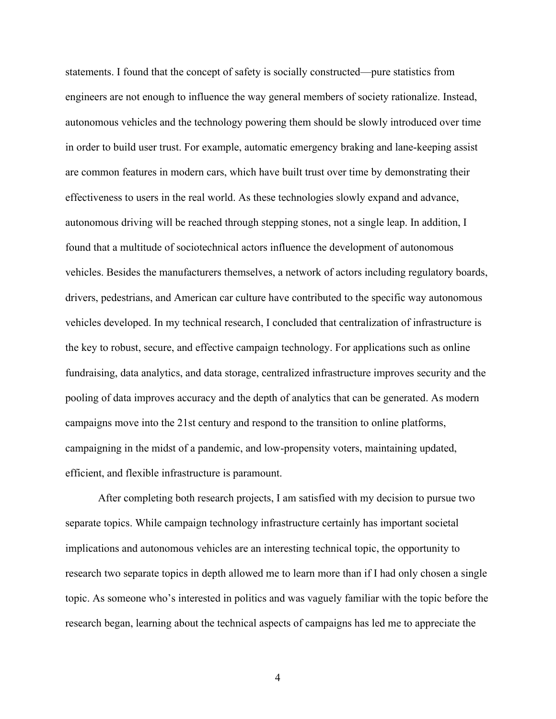statements. I found that the concept of safety is socially constructed—pure statistics from engineers are not enough to influence the way general members of society rationalize. Instead, autonomous vehicles and the technology powering them should be slowly introduced over time in order to build user trust. For example, automatic emergency braking and lane-keeping assist are common features in modern cars, which have built trust over time by demonstrating their effectiveness to users in the real world. As these technologies slowly expand and advance, autonomous driving will be reached through stepping stones, not a single leap. In addition, I found that a multitude of sociotechnical actors influence the development of autonomous vehicles. Besides the manufacturers themselves, a network of actors including regulatory boards, drivers, pedestrians, and American car culture have contributed to the specific way autonomous vehicles developed. In my technical research, I concluded that centralization of infrastructure is the key to robust, secure, and effective campaign technology. For applications such as online fundraising, data analytics, and data storage, centralized infrastructure improves security and the pooling of data improves accuracy and the depth of analytics that can be generated. As modern campaigns move into the 21st century and respond to the transition to online platforms, campaigning in the midst of a pandemic, and low-propensity voters, maintaining updated, efficient, and flexible infrastructure is paramount.

After completing both research projects, I am satisfied with my decision to pursue two separate topics. While campaign technology infrastructure certainly has important societal implications and autonomous vehicles are an interesting technical topic, the opportunity to research two separate topics in depth allowed me to learn more than if I had only chosen a single topic. As someone who's interested in politics and was vaguely familiar with the topic before the research began, learning about the technical aspects of campaigns has led me to appreciate the

4